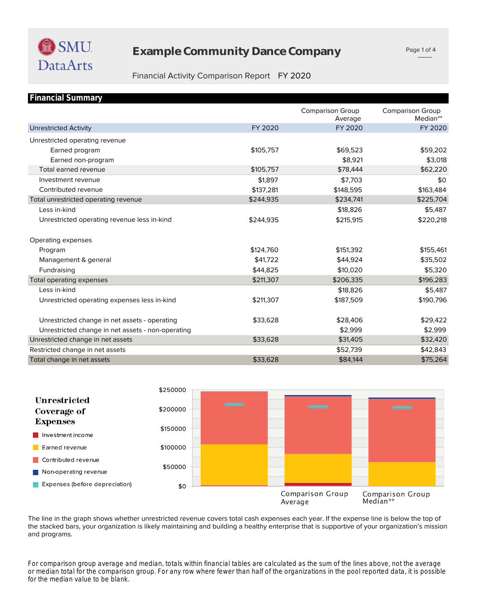# **Example Community Dance Company**

Page 1 of 4

## Financial Activity Comparison Report FY 2020

| <b>Financial Summary</b>                          |           |                                    |                                     |
|---------------------------------------------------|-----------|------------------------------------|-------------------------------------|
|                                                   |           | <b>Comparison Group</b><br>Average | <b>Comparison Group</b><br>Median** |
| <b>Unrestricted Activity</b>                      | FY 2020   | FY 2020                            | FY 2020                             |
| Unrestricted operating revenue                    |           |                                    |                                     |
| Earned program                                    | \$105,757 | \$69,523                           | \$59,202                            |
| Earned non-program                                |           | \$8,921                            | \$3,018                             |
| Total earned revenue                              | \$105,757 | \$78,444                           | \$62,220                            |
| Investment revenue                                | \$1.897   | \$7,703                            | \$0                                 |
| Contributed revenue                               | \$137,281 | \$148,595                          | \$163,484                           |
| Total unrestricted operating revenue              | \$244,935 | \$234,741                          | \$225,704                           |
| Less in-kind                                      |           | \$18,826                           | \$5,487                             |
| Unrestricted operating revenue less in-kind       | \$244,935 | \$215,915                          | \$220,218                           |
| Operating expenses                                |           |                                    |                                     |
| Program                                           | \$124,760 | \$151,392                          | \$155,461                           |
| Management & general                              | \$41,722  | \$44,924                           | \$35,502                            |
| Fundraising                                       | \$44,825  | \$10,020                           | \$5,320                             |
| Total operating expenses                          | \$211,307 | \$206,335                          | \$196,283                           |
| Less in-kind                                      |           | \$18,826                           | \$5,487                             |
| Unrestricted operating expenses less in-kind      | \$211,307 | \$187,509                          | \$190,796                           |
| Unrestricted change in net assets - operating     | \$33,628  | \$28,406                           | \$29,422                            |
| Unrestricted change in net assets - non-operating |           | \$2,999                            | \$2,999                             |
| Unrestricted change in net assets                 | \$33,628  | \$31,405                           | \$32,420                            |
| Restricted change in net assets                   |           | \$52,739                           | \$42,843                            |
| Total change in net assets                        | \$33,628  | \$84,144                           | \$75,264                            |



and programs. the stacked bars, your organization is likely maintaining and building a healthy enterprise that is supportive of your organization's mission The line in the graph shows whether unrestricted revenue covers total cash expenses each year. If the expense line is below the top of

*for the median value to be blank. or median total for the comparison group. For any row where fewer than half of the organizations in the pool reported data, it is possible For comparison group average and median, totals within financial tables are calculated as the sum of the lines above, not the average*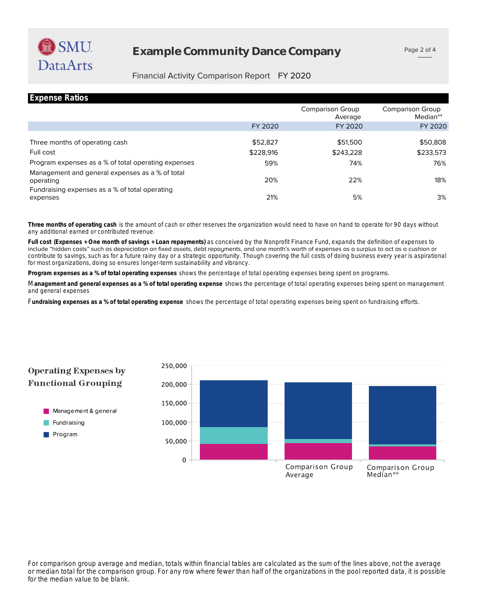# **Example Community Dance Company**

## Financial Activity Comparison Report FY 2020

| <b>Expense Ratios</b>                                        |           |                             |                              |
|--------------------------------------------------------------|-----------|-----------------------------|------------------------------|
|                                                              |           | Comparison Group<br>Average | Comparison Group<br>Median** |
|                                                              | FY 2020   | FY 2020                     | FY 2020                      |
|                                                              |           |                             |                              |
| Three months of operating cash                               | \$52,827  | \$51,500                    | \$50,808                     |
| Full cost                                                    | \$228,916 | \$243,228                   | \$233,573                    |
| Program expenses as a % of total operating expenses          | 59%       | 74%                         | 76%                          |
| Management and general expenses as a % of total<br>operating | 20%       | 22%                         | 18%                          |
| Fundraising expenses as a % of total operating<br>expenses   | 21%       | 5%                          | 3%                           |

any additional earned or contributed revenue. **Three months of operating cash** is the amount of cash or other reserves the organization would need to have on hand to operate for 90 days without

for most organizations, doing so ensures longer-term sustainability and vibrancy. contribute to savings, such as for a future rainy day or a strategic opportunity. Though covering the full costs of doing business every year is aspirational include "hidden costs" such as depreciation on fixed assets, debt repayments, and one month's worth of expenses as a surplus to act as a cushion or **Full cost (Expenses + One month of savings + Loan repayments)** as conceived by the Nonprofit Finance Fund, expands the definition of expenses to

**Program expenses as a % of total operating expenses** shows the percentage of total operating expenses being spent on programs.

and general expenses M**anagement and general expenses as a % of total operating expense** shows the percentage of total operating expenses being spent on management

F**undraising expenses as a % of total operating expense** shows the percentage of total operating expenses being spent on fundraising efforts.



*for the median value to be blank. or median total for the comparison group. For any row where fewer than half of the organizations in the pool reported data, it is possible For comparison group average and median, totals within financial tables are calculated as the sum of the lines above, not the average*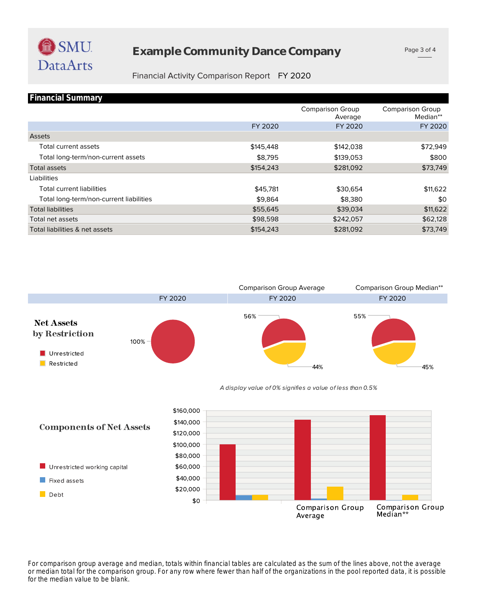

Debt

# **Example Community Dance Company**

Page 3 of 4

## Financial Activity Comparison Report FY 2020

| <b>Financial Summary</b>                |           |                                    |                                     |
|-----------------------------------------|-----------|------------------------------------|-------------------------------------|
|                                         |           | <b>Comparison Group</b><br>Average | <b>Comparison Group</b><br>Median** |
|                                         | FY 2020   | FY 2020                            | FY 2020                             |
| Assets                                  |           |                                    |                                     |
| Total current assets                    | \$145,448 | \$142,038                          | \$72,949                            |
| Total long-term/non-current assets      | \$8,795   | \$139,053                          | \$800                               |
| Total assets                            | \$154,243 | \$281,092                          | \$73,749                            |
| Liabilities                             |           |                                    |                                     |
| <b>Total current liabilities</b>        | \$45,781  | \$30,654                           | \$11,622                            |
| Total long-term/non-current liabilities | \$9,864   | \$8,380                            | \$0                                 |
| <b>Total liabilities</b>                | \$55,645  | \$39,034                           | \$11,622                            |
| Total net assets                        | \$98,598  | \$242,057                          | \$62,128                            |
| Total liabilities & net assets          | \$154,243 | \$281,092                          | \$73,749                            |



*for the median value to be blank. or median total for the comparison group. For any row where fewer than half of the organizations in the pool reported data, it is possible For comparison group average and median, totals within financial tables are calculated as the sum of the lines above, not the average* 

**Comparison Group** 

Average

**Comparison Group** 

Median\*\*

\$20,000

\$0